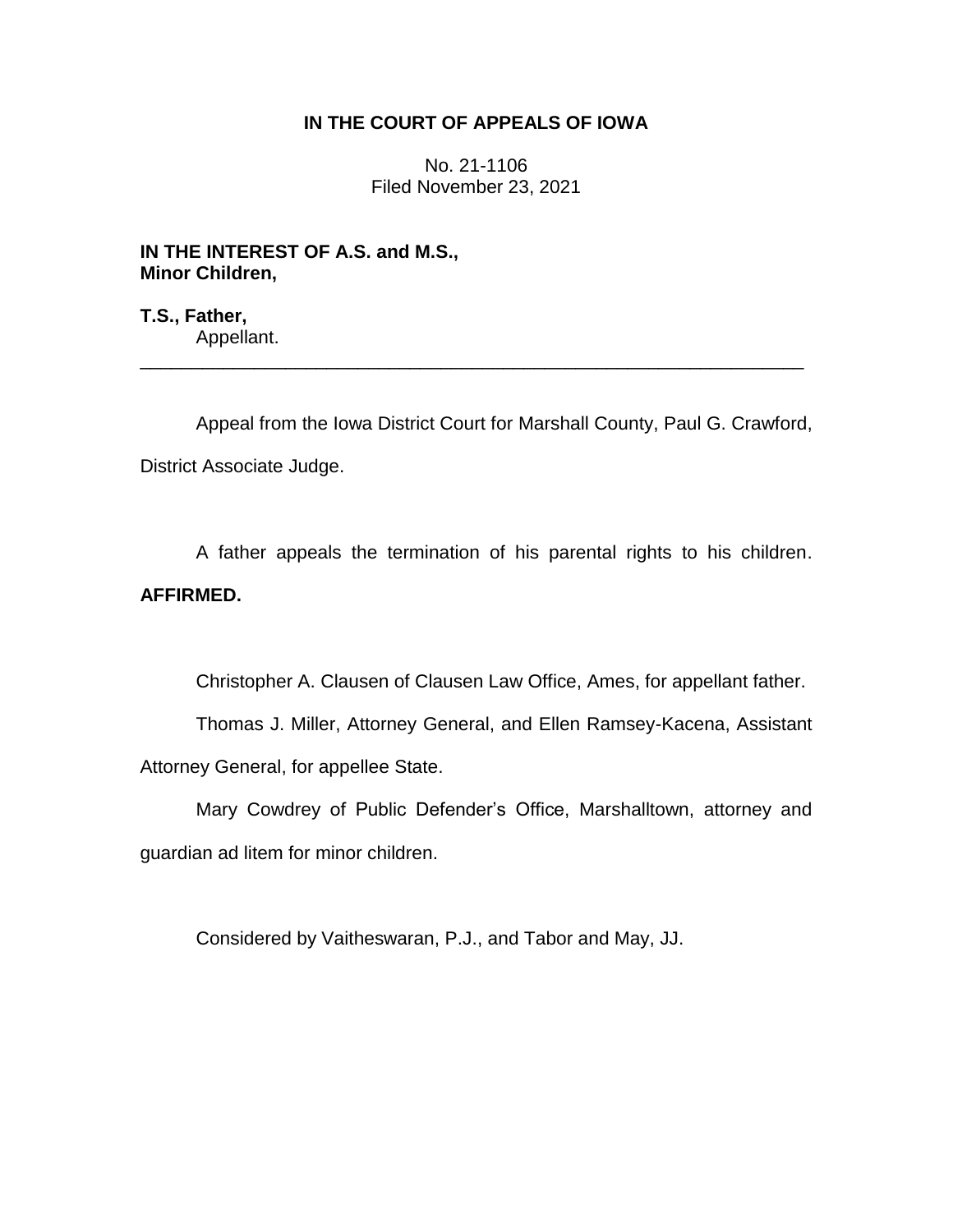## **IN THE COURT OF APPEALS OF IOWA**

No. 21-1106 Filed November 23, 2021

**IN THE INTEREST OF A.S. and M.S., Minor Children,**

**T.S., Father,** Appellant.

Appeal from the Iowa District Court for Marshall County, Paul G. Crawford, District Associate Judge.

\_\_\_\_\_\_\_\_\_\_\_\_\_\_\_\_\_\_\_\_\_\_\_\_\_\_\_\_\_\_\_\_\_\_\_\_\_\_\_\_\_\_\_\_\_\_\_\_\_\_\_\_\_\_\_\_\_\_\_\_\_\_\_\_

A father appeals the termination of his parental rights to his children. **AFFIRMED.**

Christopher A. Clausen of Clausen Law Office, Ames, for appellant father.

Thomas J. Miller, Attorney General, and Ellen Ramsey-Kacena, Assistant Attorney General, for appellee State.

Mary Cowdrey of Public Defender's Office, Marshalltown, attorney and guardian ad litem for minor children.

Considered by Vaitheswaran, P.J., and Tabor and May, JJ.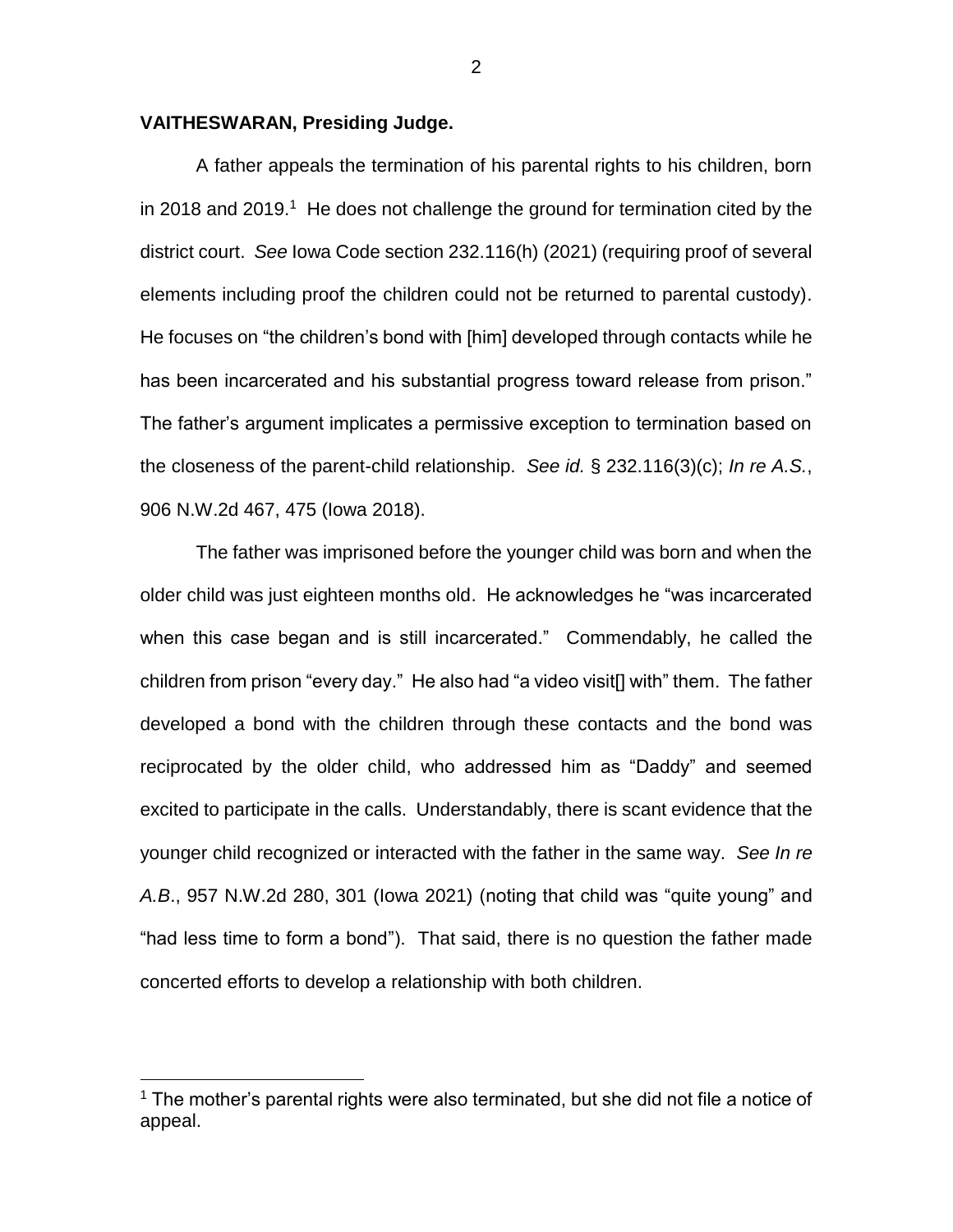## **VAITHESWARAN, Presiding Judge.**

A father appeals the termination of his parental rights to his children, born in 2018 and 2019.<sup>1</sup> He does not challenge the ground for termination cited by the district court. *See* Iowa Code section 232.116(h) (2021) (requiring proof of several elements including proof the children could not be returned to parental custody). He focuses on "the children's bond with [him] developed through contacts while he has been incarcerated and his substantial progress toward release from prison." The father's argument implicates a permissive exception to termination based on the closeness of the parent-child relationship. *See id.* § 232.116(3)(c); *In re A.S.*, 906 N.W.2d 467, 475 (Iowa 2018).

The father was imprisoned before the younger child was born and when the older child was just eighteen months old. He acknowledges he "was incarcerated when this case began and is still incarcerated." Commendably, he called the children from prison "every day." He also had "a video visit[] with" them. The father developed a bond with the children through these contacts and the bond was reciprocated by the older child, who addressed him as "Daddy" and seemed excited to participate in the calls. Understandably, there is scant evidence that the younger child recognized or interacted with the father in the same way. *See In re A.B*., 957 N.W.2d 280, 301 (Iowa 2021) (noting that child was "quite young" and "had less time to form a bond"). That said, there is no question the father made concerted efforts to develop a relationship with both children.

 $\overline{a}$ 

 $1$  The mother's parental rights were also terminated, but she did not file a notice of appeal.